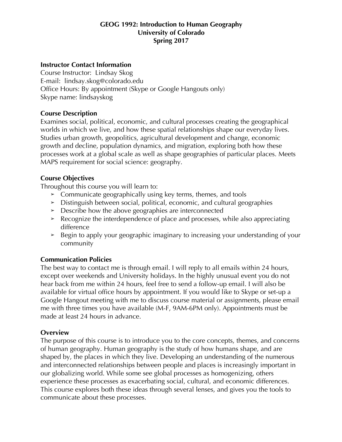## **GEOG 1992: Introduction to Human Geography University of Colorado Spring 2017**

### **Instructor Contact Information**

Course Instructor: Lindsay Skog E-mail: lindsay.skog@colorado.edu Office Hours: By appointment (Skype or Google Hangouts only) Skype name: lindsayskog

### **Course Description**

Examines social, political, economic, and cultural processes creating the geographical worlds in which we live, and how these spatial relationships shape our everyday lives. Studies urban growth, geopolitics, agricultural development and change, economic growth and decline, population dynamics, and migration, exploring both how these processes work at a global scale as well as shape geographies of particular places. Meets MAPS requirement for social science: geography.

### **Course Objectives**

Throughout this course you will learn to:

- ➢ Communicate geographically using key terms, themes, and tools
- ➢ Distinguish between social, political, economic, and cultural geographies
- ➢ Describe how the above geographies are interconnected
- ➢ Recognize the interdependence of place and processes, while also appreciating difference
- ➢ Begin to apply your geographic imaginary to increasing your understanding of your community

# **Communication Policies**

The best way to contact me is through email. I will reply to all emails within 24 hours, except over weekends and University holidays. In the highly unusual event you do not hear back from me within 24 hours, feel free to send a follow-up email. I will also be available for virtual office hours by appointment. If you would like to Skype or set-up a Google Hangout meeting with me to discuss course material or assignments, please email me with three times you have available (M-F, 9AM-6PM only). Appointments must be made at least 24 hours in advance.

# **Overview**

The purpose of this course is to introduce you to the core concepts, themes, and concerns of human geography. Human geography is the study of how humans shape, and are shaped by, the places in which they live. Developing an understanding of the numerous and interconnected relationships between people and places is increasingly important in our globalizing world. While some see global processes as homogenizing, others experience these processes as exacerbating social, cultural, and economic differences. This course explores both these ideas through several lenses, and gives you the tools to communicate about these processes.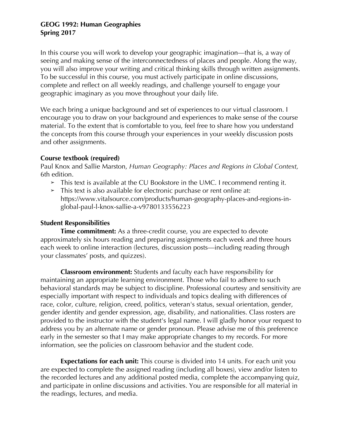In this course you will work to develop your geographic imagination—that is, a way of seeing and making sense of the interconnectedness of places and people. Along the way, you will also improve your writing and critical thinking skills through written assignments. To be successful in this course, you must actively participate in online discussions, complete and reflect on all weekly readings, and challenge yourself to engage your geographic imaginary as you move throughout your daily life.

We each bring a unique background and set of experiences to our virtual classroom. I encourage you to draw on your background and experiences to make sense of the course material. To the extent that is comfortable to you, feel free to share how you understand the concepts from this course through your experiences in your weekly discussion posts and other assignments.

#### **Course textbook (required)**

Paul Knox and Sallie Marston, *Human Geography: Places and Regions in Global Context,*  6th edition.

- ➢ This text is available at the CU Bookstore in the UMC. I recommend renting it.
- ➢ This text is also available for electronic purchase or rent online at: https://www.vitalsource.com/products/human-geography-places-and-regions-inglobal-paul-l-knox-sallie-a-v9780133556223

# **Student Responsibilities**

**Time commitment:** As a three-credit course, you are expected to devote approximately six hours reading and preparing assignments each week and three hours each week to online interaction (lectures, discussion posts—including reading through your classmates' posts, and quizzes).

**Classroom environment:** Students and faculty each have responsibility for maintaining an appropriate learning environment. Those who fail to adhere to such behavioral standards may be subject to discipline. Professional courtesy and sensitivity are especially important with respect to individuals and topics dealing with differences of race, color, culture, religion, creed, politics, veteran's status, sexual orientation, gender, gender identity and gender expression, age, disability, and nationalities. Class rosters are provided to the instructor with the student's legal name. I will gladly honor your request to address you by an alternate name or gender pronoun. Please advise me of this preference early in the semester so that I may make appropriate changes to my records. For more information, see the policies on classroom behavior and the student code.

**Expectations for each unit:** This course is divided into 14 units. For each unit you are expected to complete the assigned reading (including all boxes), view and/or listen to the recorded lectures and any additional posted media, complete the accompanying quiz, and participate in online discussions and activities. You are responsible for all material in the readings, lectures, and media.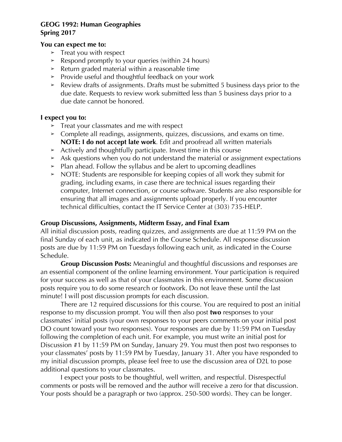#### **You can expect me to:**

- $\blacktriangleright$  Treat you with respect
- ➢ Respond promptly to your queries (within 24 hours)
- $\geq$  Return graded material within a reasonable time
- ➢ Provide useful and thoughtful feedback on your work
- ➢ Review drafts of assignments. Drafts must be submitted 5 business days prior to the due date. Requests to review work submitted less than 5 business days prior to a due date cannot be honored.

### **I expect you to:**

- ➢ Treat your classmates and me with respect
- ➢ Complete all readings, assignments, quizzes, discussions, and exams on time. **NOTE: I do not accept late work**. Edit and proofread all written materials
- ➢ Actively and thoughtfully participate. Invest time in this course
- ➢ Ask questions when you do not understand the material or assignment expectations
- ➢ Plan ahead. Follow the syllabus and be alert to upcoming deadlines
- ➢ NOTE: Students are responsible for keeping copies of all work they submit for grading, including exams, in case there are technical issues regarding their computer, Internet connection, or course software. Students are also responsible for ensuring that all images and assignments upload properly. If you encounter technical difficulties, contact the IT Service Center at (303) 735-HELP.

#### **Group Discussions, Assignments, Midterm Essay, and Final Exam**

All initial discussion posts, reading quizzes, and assignments are due at 11:59 PM on the final Sunday of each unit, as indicated in the Course Schedule. All response discussion posts are due by 11:59 PM on Tuesdays following each unit, as indicated in the Course Schedule.

**Group Discussion Posts:** Meaningful and thoughtful discussions and responses are an essential component of the online learning environment. Your participation is required for your success as well as that of your classmates in this environment. Some discussion posts require you to do some research or footwork. Do not leave these until the last minute! I will post discussion prompts for each discussion.

There are 12 required discussions for this course. You are required to post an initial response to my discussion prompt. You will then also post **two** responses to your classmates' initial posts (your own responses to your peers comments on your initial post DO count toward your two responses). Your responses are due by 11:59 PM on Tuesday following the completion of each unit. For example, you must write an initial post for Discussion #1 by 11:59 PM on Sunday, January 29. You must then post two responses to your classmates' posts by 11:59 PM by Tuesday, January 31. After you have responded to my initial discussion prompts, please feel free to use the discussion area of D2L to pose additional questions to your classmates.

I expect your posts to be thoughtful, well written, and respectful. Disrespectful comments or posts will be removed and the author will receive a zero for that discussion. Your posts should be a paragraph or two (approx. 250-500 words). They can be longer.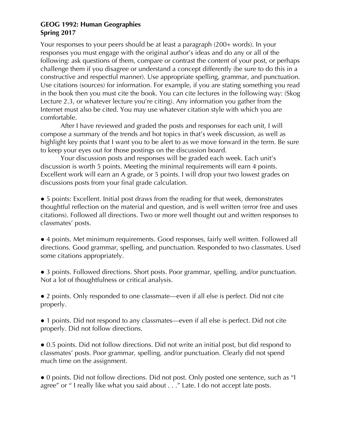Your responses to your peers should be at least a paragraph (200+ words). In your responses you must engage with the original author's ideas and do any or all of the following: ask questions of them, compare or contrast the content of your post, or perhaps challenge them if you disagree or understand a concept differently (be sure to do this in a constructive and respectful manner). Use appropriate spelling, grammar, and punctuation. Use citations (sources) for information. For example, if you are stating something you read in the book then you must cite the book. You can cite lectures in the following way: (Skog Lecture 2.3, or whatever lecture you're citing). Any information you gather from the Internet must also be cited. You may use whatever citation style with which you are comfortable.

After I have reviewed and graded the posts and responses for each unit, I will compose a summary of the trends and hot topics in that's week discussion, as well as highlight key points that I want you to be alert to as we move forward in the term. Be sure to keep your eyes out for those postings on the discussion board.

Your discussion posts and responses will be graded each week. Each unit's discussion is worth 5 points. Meeting the minimal requirements will earn 4 points. Excellent work will earn an A grade, or 5 points. I will drop your two lowest grades on discussions posts from your final grade calculation.

• 5 points: Excellent. Initial post draws from the reading for that week, demonstrates thoughtful reflection on the material and question, and is well written (error free and uses citations). Followed all directions. Two or more well thought out and written responses to classmates' posts.

● 4 points. Met minimum requirements. Good responses, fairly well written. Followed all directions. Good grammar, spelling, and punctuation. Responded to two classmates. Used some citations appropriately.

• 3 points. Followed directions. Short posts. Poor grammar, spelling, and/or punctuation. Not a lot of thoughtfulness or critical analysis.

● 2 points. Only responded to one classmate—even if all else is perfect. Did not cite properly.

• 1 points. Did not respond to any classmates—even if all else is perfect. Did not cite properly. Did not follow directions.

● 0.5 points. Did not follow directions. Did not write an initial post, but did respond to classmates' posts. Poor grammar, spelling, and/or punctuation. Clearly did not spend much time on the assignment.

● 0 points. Did not follow directions. Did not post. Only posted one sentence, such as "I agree" or " I really like what you said about . . ." Late. I do not accept late posts.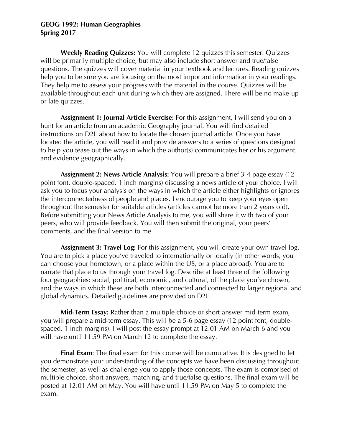**Weekly Reading Quizzes:** You will complete 12 quizzes this semester. Quizzes will be primarily multiple choice, but may also include short answer and true/false questions. The quizzes will cover material in your textbook and lectures. Reading quizzes help you to be sure you are focusing on the most important information in your readings. They help me to assess your progress with the material in the course. Quizzes will be available throughout each unit during which they are assigned. There will be no make-up or late quizzes.

**Assignment 1: Journal Article Exercise:** For this assignment, I will send you on a hunt for an article from an academic Geography journal. You will find detailed instructions on D2L about how to locate the chosen journal article. Once you have located the article, you will read it and provide answers to a series of questions designed to help you tease out the ways in which the author(s) communicates her or his argument and evidence geographically.

**Assignment 2: News Article Analysis:** You will prepare a brief 3-4 page essay (12 point font, double-spaced, 1 inch margins) discussing a news article of your choice. I will ask you to focus your analysis on the ways in which the article either highlights or ignores the interconnectedness of people and places. I encourage you to keep your eyes open throughout the semester for suitable articles (articles cannot be more than 2 years old). Before submitting your News Article Analysis to me, you will share it with two of your peers, who will provide feedback. You will then submit the original, your peers' comments, and the final version to me.

**Assignment 3: Travel Log:** For this assignment, you will create your own travel log. You are to pick a place you've traveled to internationally or locally (in other words, you can choose your hometown, or a place within the US, or a place abroad). You are to narrate that place to us through your travel log. Describe at least three of the following four geographies: social, political, economic, and cultural, of the place you've chosen, and the ways in which these are both interconnected and connected to larger regional and global dynamics. Detailed guidelines are provided on D2L.

**Mid-Term Essay:** Rather than a multiple choice or short-answer mid-term exam, you will prepare a mid-term essay. This will be a 5-6 page essay (12 point font, doublespaced, 1 inch margins). I will post the essay prompt at 12:01 AM on March 6 and you will have until 11:59 PM on March 12 to complete the essay.

**Final Exam**: The final exam for this course will be cumulative. It is designed to let you demonstrate your understanding of the concepts we have been discussing throughout the semester, as well as challenge you to apply those concepts. The exam is comprised of multiple choice, short answers, matching, and true/false questions. The final exam will be posted at 12:01 AM on May. You will have until 11:59 PM on May 5 to complete the exam.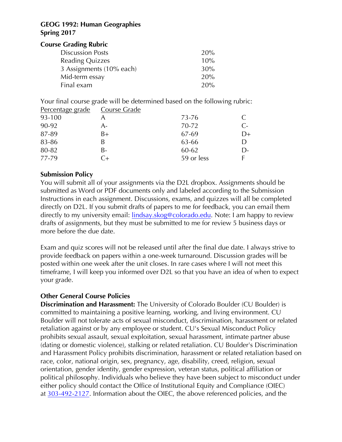#### **Course Grading Rubric**

| 20% |
|-----|
| 10% |
| 30% |
| 20% |
| 20% |
|     |

Your final course grade will be determined based on the following rubric:

| Percentage grade | Course Grade       |            |           |
|------------------|--------------------|------------|-----------|
| 93-100           |                    | $73 - 76$  |           |
| 90-92            | A-                 | 70-72      | $\subset$ |
| 87-89            | B+                 | 67-69      | D+        |
| 83-86            | B                  | 63-66      |           |
| 80-82            | B-                 | 60-62      | $D-$      |
| 77-79            | $\curvearrowright$ | 59 or less |           |

# **Submission Policy**

You will submit all of your assignments via the D2L dropbox. Assignments should be submitted as Word or PDF documents only and labeled according to the Submission Instructions in each assignment. Discussions, exams, and quizzes will all be completed directly on D2L. If you submit drafts of papers to me for feedback, you can email them directly to my university email: lindsay.skog@colorado.edu. Note: I am happy to review drafts of assignments, but they must be submitted to me for review 5 business days or more before the due date.

Exam and quiz scores will not be released until after the final due date. I always strive to provide feedback on papers within a one-week turnaround. Discussion grades will be posted within one week after the unit closes. In rare cases where I will not meet this timeframe, I will keep you informed over D2L so that you have an idea of when to expect your grade.

# **Other General Course Policies**

**Discrimination and Harassment:** The University of Colorado Boulder (CU Boulder) is committed to maintaining a positive learning, working, and living environment. CU Boulder will not tolerate acts of sexual misconduct, discrimination, harassment or related retaliation against or by any employee or student. CU's Sexual Misconduct Policy prohibits sexual assault, sexual exploitation, sexual harassment, intimate partner abuse (dating or domestic violence), stalking or related retaliation. CU Boulder's Discrimination and Harassment Policy prohibits discrimination, harassment or related retaliation based on race, color, national origin, sex, pregnancy, age, disability, creed, religion, sexual orientation, gender identity, gender expression, veteran status, political affiliation or political philosophy. Individuals who believe they have been subject to misconduct under either policy should contact the Office of Institutional Equity and Compliance (OIEC) at 303-492-2127. Information about the OIEC, the above referenced policies, and the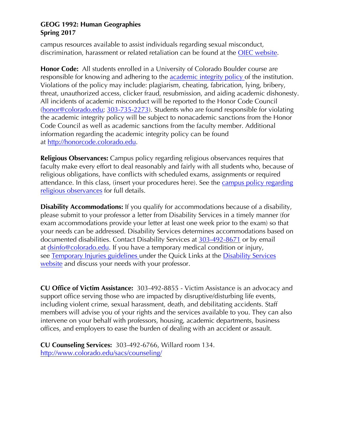campus resources available to assist individuals regarding sexual misconduct, discrimination, harassment or related retaliation can be found at the OIEC website.

**Honor Code:** All students enrolled in a University of Colorado Boulder course are responsible for knowing and adhering to the academic integrity policy of the institution. Violations of the policy may include: plagiarism, cheating, fabrication, lying, bribery, threat, unauthorized access, clicker fraud, resubmission, and aiding academic dishonesty. All incidents of academic misconduct will be reported to the Honor Code Council (honor@colorado.edu; 303-735-2273). Students who are found responsible for violating the academic integrity policy will be subject to nonacademic sanctions from the Honor Code Council as well as academic sanctions from the faculty member. Additional information regarding the academic integrity policy can be found at http://honorcode.colorado.edu.

**Religious Observances:** Campus policy regarding religious observances requires that faculty make every effort to deal reasonably and fairly with all students who, because of religious obligations, have conflicts with scheduled exams, assignments or required attendance. In this class, (insert your procedures here). See the campus policy regarding religious observances for full details.

**Disability Accommodations:** If you qualify for accommodations because of a disability, please submit to your professor a letter from Disability Services in a timely manner (for exam accommodations provide your letter at least one week prior to the exam) so that your needs can be addressed. Disability Services determines accommodations based on documented disabilities. Contact Disability Services at 303-492-8671 or by email at dsinfo@colorado.edu. If you have a temporary medical condition or injury, see Temporary Injuries guidelines under the Quick Links at the Disability Services website and discuss your needs with your professor.

**CU Office of Victim Assistance:** 303-492-8855 - Victim Assistance is an advocacy and support office serving those who are impacted by disruptive/disturbing life events, including violent crime, sexual harassment, death, and debilitating accidents. Staff members will advise you of your rights and the services available to you. They can also intervene on your behalf with professors, housing, academic departments, business offices, and employers to ease the burden of dealing with an accident or assault.

**CU Counseling Services:** 303-492-6766, Willard room 134. http://www.colorado.edu/sacs/counseling/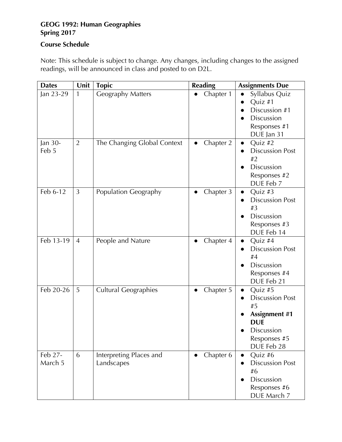# **Course Schedule**

Note: This schedule is subject to change. Any changes, including changes to the assigned readings, will be announced in class and posted to on D2L.

| <b>Dates</b>       | Unit           | <b>Topic</b>                          | <b>Reading</b>         | <b>Assignments Due</b>                                                                                                    |
|--------------------|----------------|---------------------------------------|------------------------|---------------------------------------------------------------------------------------------------------------------------|
| Jan 23-29          | 1              | <b>Geography Matters</b>              | Chapter 1              | Syllabus Quiz<br>Quiz #1<br>Discussion #1<br><b>Discussion</b><br>Responses #1<br>DUE Jan 31                              |
| Jan 30-<br>Feb 5   | $\overline{2}$ | The Changing Global Context           | Chapter 2<br>$\bullet$ | Quiz #2<br>$\bullet$<br><b>Discussion Post</b><br>#2<br><b>Discussion</b><br>Responses #2<br>DUE Feb 7                    |
| Feb 6-12           | 3              | Population Geography                  | Chapter 3<br>$\bullet$ | Quiz #3<br>$\bullet$<br><b>Discussion Post</b><br># $3$<br><b>Discussion</b><br>Responses #3<br>DUE Feb 14                |
| Feb 13-19          | $\overline{4}$ | People and Nature                     | Chapter 4              | Quiz #4<br><b>Discussion Post</b><br>#4<br>Discussion<br>Responses #4<br>DUE Feb 21                                       |
| Feb 20-26          | 5              | <b>Cultural Geographies</b>           | Chapter 5<br>$\bullet$ | Quiz #5<br><b>Discussion Post</b><br>#5<br><b>Assignment #1</b><br><b>DUE</b><br>Discussion<br>Responses #5<br>DUE Feb 28 |
| Feb 27-<br>March 5 | 6              | Interpreting Places and<br>Landscapes | Chapter 6              | Quiz #6<br><b>Discussion Post</b><br>#6<br><b>Discussion</b><br>Responses #6<br>DUE March 7                               |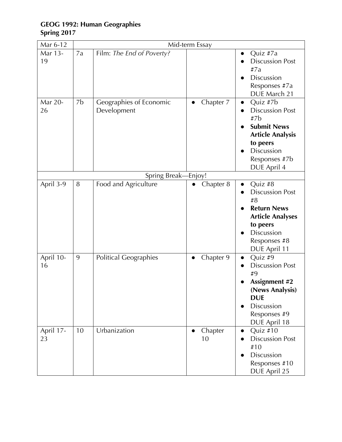| Mar 6-12          | Mid-term Essay |                                        |                            |                                                                                                                                                                   |  |
|-------------------|----------------|----------------------------------------|----------------------------|-------------------------------------------------------------------------------------------------------------------------------------------------------------------|--|
| Mar 13-<br>19     | 7a             | Film: The End of Poverty?              |                            | Quiz #7a<br><b>Discussion Post</b><br>#7a<br>Discussion<br>Responses #7a<br>DUE March 21                                                                          |  |
| Mar 20-<br>26     | 7b             | Geographies of Economic<br>Development | Chapter 7<br>$\bullet$     | Quiz #7b<br>$\bullet$<br><b>Discussion Post</b><br>#7b<br><b>Submit News</b><br><b>Article Analysis</b><br>to peers<br>Discussion<br>Responses #7b<br>DUE April 4 |  |
|                   |                | Spring Break-Enjoy!                    |                            |                                                                                                                                                                   |  |
| April 3-9         | 8              | Food and Agriculture                   | Chapter 8                  | Quiz #8<br><b>Discussion Post</b><br>$\#8$<br><b>Return News</b><br><b>Article Analyses</b><br>to peers<br>Discussion<br>Responses #8<br>DUE April 11             |  |
| April 10-<br>16   | 9              | <b>Political Geographies</b>           | Chapter 9                  | Quiz #9<br><b>Discussion Post</b><br>#9<br><b>Assignment #2</b><br>(News Analysis)<br><b>DUE</b><br><b>Discussion</b><br>Responses #9<br>DUE April 18             |  |
| April $17-$<br>23 | 10             | Urbanization                           | Chapter<br>$\bullet$<br>10 | Quiz #10<br>$\bullet$<br><b>Discussion Post</b><br>#10<br>Discussion<br>Responses #10<br>DUE April 25                                                             |  |